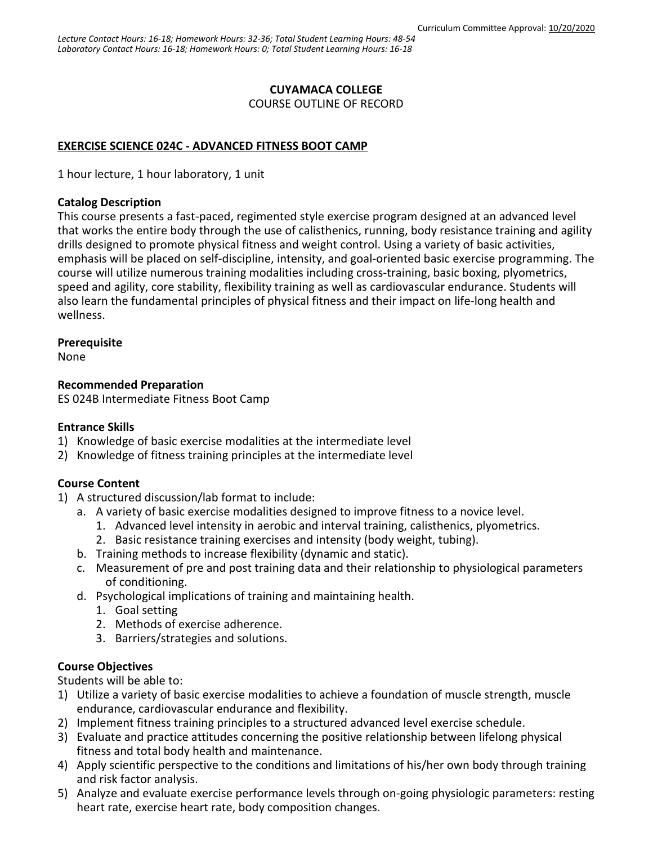# **CUYAMACA COLLEGE**

COURSE OUTLINE OF RECORD

# **EXERCISE SCIENCE 024C - ADVANCED FITNESS BOOT CAMP**

1 hour lecture, 1 hour laboratory, 1 unit

### **Catalog Description**

This course presents a fast-paced, regimented style exercise program designed at an advanced level that works the entire body through the use of calisthenics, running, body resistance training and agility drills designed to promote physical fitness and weight control. Using a variety of basic activities, emphasis will be placed on self-discipline, intensity, and goal-oriented basic exercise programming. The course will utilize numerous training modalities including cross-training, basic boxing, plyometrics, speed and agility, core stability, flexibility training as well as cardiovascular endurance. Students will also learn the fundamental principles of physical fitness and their impact on life-long health and wellness.

# **Prerequisite**

None

# **Recommended Preparation**

ES 024B Intermediate Fitness Boot Camp

#### **Entrance Skills**

- 1) Knowledge of basic exercise modalities at the intermediate level
- 2) Knowledge of fitness training principles at the intermediate level

# **Course Content**

- 1) A structured discussion/lab format to include:
	- a. A variety of basic exercise modalities designed to improve fitness to a novice level.
		- 1. Advanced level intensity in aerobic and interval training, calisthenics, plyometrics.
		- 2. Basic resistance training exercises and intensity (body weight, tubing).
	- b. Training methods to increase flexibility (dynamic and static).
	- c. Measurement of pre and post training data and their relationship to physiological parameters of conditioning.
	- d. Psychological implications of training and maintaining health.
		- 1. Goal setting
		- 2. Methods of exercise adherence.
		- 3. Barriers/strategies and solutions.

# **Course Objectives**

Students will be able to:

- 1) Utilize a variety of basic exercise modalities to achieve a foundation of muscle strength, muscle endurance, cardiovascular endurance and flexibility.
- 2) Implement fitness training principles to a structured advanced level exercise schedule.
- 3) Evaluate and practice attitudes concerning the positive relationship between lifelong physical fitness and total body health and maintenance.
- 4) Apply scientific perspective to the conditions and limitations of his/her own body through training and risk factor analysis.
- 5) Analyze and evaluate exercise performance levels through on-going physiologic parameters: resting heart rate, exercise heart rate, body composition changes.